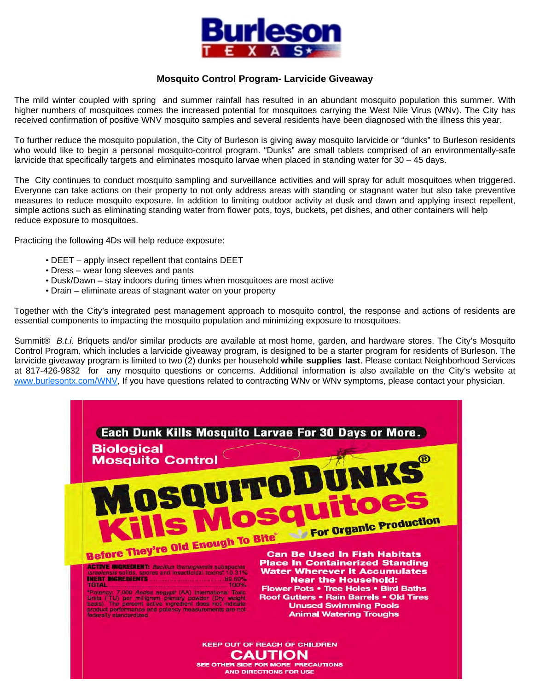

## **Mosquito Control Program- Larvicide Giveaway**

The mild winter coupled with spring and summer rainfall has resulted in an abundant mosquito population this summer. With higher numbers of mosquitoes comes the increased potential for mosquitoes carrying the West Nile Virus (WNv). The City has received confirmation of positive WNV mosquito samples and several residents have been diagnosed with the illness this year.

To further reduce the mosquito population, the City of Burleson is giving away mosquito larvicide or "dunks" to Burleson residents who would like to begin a personal mosquito-control program. "Dunks" are small tablets comprised of an environmentally-safe larvicide that specifically targets and eliminates mosquito larvae when placed in standing water for 30 – 45 days.

The City continues to conduct mosquito sampling and surveillance activities and will spray for adult mosquitoes when triggered. Everyone can take actions on their property to not only address areas with standing or stagnant water but also take preventive measures to reduce mosquito exposure. In addition to limiting outdoor activity at dusk and dawn and applying insect repellent, simple actions such as eliminating standing water from flower pots, toys, buckets, pet dishes, and other containers will help reduce exposure to mosquitoes.

Practicing the following 4Ds will help reduce exposure:

- DEET apply insect repellent that contains DEET
- Dress wear long sleeves and pants
- Dusk/Dawn stay indoors during times when mosquitoes are most active
- Drain eliminate areas of stagnant water on your property

Together with the City's integrated pest management approach to mosquito control, the response and actions of residents are essential components to impacting the mosquito population and minimizing exposure to mosquitoes.

Summit® *B.t.i.* Briquets and/or similar products are available at most home, garden, and hardware stores. The City's Mosquito Control Program, which includes a larvicide giveaway program, is designed to be a starter program for residents of Burleson. The larvicide giveaway program is limited to two (2) dunks per household **while supplies last**. Please contact Neighborhood Services at 817-426-9832 for any mosquito questions or concerns. Additional information is also available on the City's website at www.burlesontx.com/WNV, If you have questions related to contracting WNv or WNv symptoms, please contact your physician.